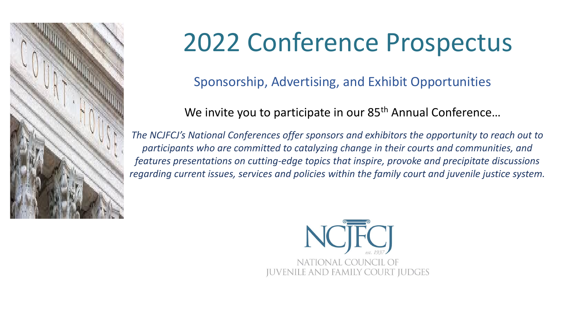

# 2022 Conference Prospectus

Sponsorship, Advertising, and Exhibit Opportunities

We invite you to participate in our 85<sup>th</sup> Annual Conference...

*The NCJFCJ's National Conferences offer sponsors and exhibitors the opportunity to reach out to participants who are committed to catalyzing change in their courts and communities, and features presentations on cutting-edge topics that inspire, provoke and precipitate discussions regarding current issues, services and policies within the family court and juvenile justice system.* 

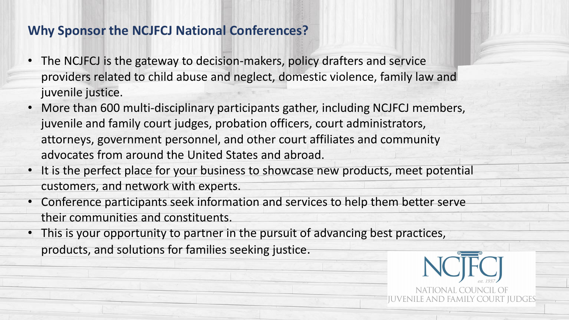## **Why Sponsor the NCJFCJ National Conferences?**

- The NCJFCJ is the gateway to decision-makers, policy drafters and service providers related to child abuse and neglect, domestic violence, family law and juvenile justice.
- More than 600 multi-disciplinary participants gather, including NCJFCJ members, juvenile and family court judges, probation officers, court administrators, attorneys, government personnel, and other court affiliates and community advocates from around the United States and abroad.
- It is the perfect place for your business to showcase new products, meet potential customers, and network with experts.
- Conference participants seek information and services to help them better serve their communities and constituents.
- This is your opportunity to partner in the pursuit of advancing best practices, products, and solutions for families seeking justice.

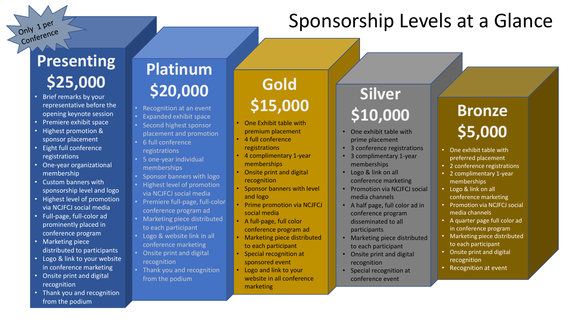# Sponsorship Levels at a Glance

# **Presenting**  \$25,000 **Gold Gold**

Only 1 per Conference

- Brief remarks by your representative before the opening keynote session
- Premiere exhibit space
- Highest promotion & sponsor placement
- Eight full conference registrations
- One-year organizational membership
- Custom banners with sponsorship level and logo
- Highest level of promotion via NCJFCJ social media
- Full-page, full-color ad prominently placed in conference program
- Marketing piece distributed to participants
- Logo & link to your website in conference marketing
- Onsite print and digital recognition
- Thank you and recognition from the podium

# **Platinum \$20,000**

- Recognition at an event
- Expanded exhibit space • Second highest sponsor
- placement and promotion • 6 full conference registrations
- 5 one-year individual memberships
- Sponsor banners with logo
- Highest level of promotion via NCJFCJ social media
- Premiere full-page, full-color conference program ad
- Marketing piece distributed to each participant
- Logo & website link in all conference marketing
- Onsite print and digital recognition
- Thank you and recognition from the podium

# **\$15,000 Silver**

- One Exhibit table with premium placement
- 4 full conference registrations
- 4 complimentary 1-year memberships
- Onsite print and digital recognition
- Sponsor banners with level and logo
- Prime promotion via NCJFCJ social media
- A full-page, full color conference program ad
- Marketing piece distributed to each participant
- Special recognition at sponsored event
- Logo and link to your website in all conference marketing

# **\$10,000 Bronze**

- One exhibit table with prime placement
- 3 conference registrations
- 3 complimentary 1-year memberships
- Logo & link on all conference marketing
- Promotion via NCJFCJ social media channels
- A half page, full color ad in conference program disseminated to all participants
- Marketing piece distributed to each participant
- Onsite print and digital recognition
- Special recognition at conference event

# **\$5,000**

- One exhibit table with preferred placement
- 2 conference registrations
- 2 complimentary 1-year memberships
- Logo & link on all conference marketing
- Promotion via NCJFCJ social media channels
- A quarter page full color ad in conference program
- Marketing piece distributed to each participant
- Onsite print and digital recognition
- Recognition at event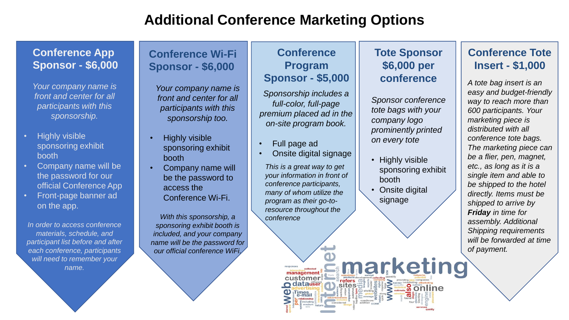# **Additional Conference Marketing Options**

#### **Conference App Sponsor - \$6,000**

*Your company name is front and center for all participants with this sponsorship.* 

- Highly visible sponsoring exhibit booth
- Company name will be the password for our official Conference App
- Front-page banner ad on the app.

*In order to access conference materials, schedule, and participant list before and after each conference, participants will need to remember your name.* 

### **Conference Wi-Fi Sponsor - \$6,000**

*Your company name is front and center for all participants with this sponsorship too.* 

- Highly visible sponsoring exhibit booth
- Company name will be the password to access the Conference Wi-Fi.

*With this sponsorship, a sponsoring exhibit booth is included, and your company name will be the password for our official conference WiFi.* 

#### **Conference Program Sponsor - \$5,000**

*Sponsorship includes a full-color, full-page premium placed ad in the on-site program book.* 

- Full page ad
- Onsite digital signage

*This is a great way to get your information in front of conference participants, many of whom utilize the program as their go-toresource throughout the conference*

> responses<br>
> interactions<sup>collected</sup><br> **management** customer

> > atauser

∞refers<br>.Sites<del>∵</del>

#### **Tote Sponsor \$6,000 per conference**

*Sponsor conference tote bags with your company logo prominently printed on every tote*

- Highly visible sponsoring exhibit booth
- **Onsite digital** signage

Emarketing

**Sonline** 

#### **Conference Tote Insert - \$1,000**

*A tote bag insert is an easy and budget-friendly way to reach more than 600 participants. Your marketing piece is distributed with all conference tote bags. The marketing piece can be a flier, pen, magnet, etc., as long as it is a single item and able to be shipped to the hotel directly. Items must be shipped to arrive by Friday in time for assembly. Additional Shipping requirements will be forwarded at time of payment.*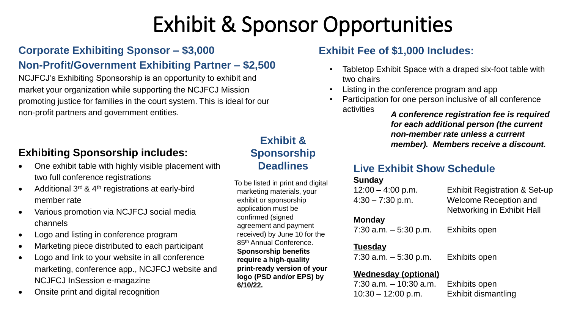# Exhibit & Sponsor Opportunities

## **Corporate Exhibiting Sponsor – \$3,000**

## **Non-Profit/Government Exhibiting Partner – \$2,500**

NCJFCJ's Exhibiting Sponsorship is an opportunity to exhibit and market your organization while supporting the NCJFCJ Mission promoting justice for families in the court system. This is ideal for our non-profit partners and government entities.

## **Exhibiting Sponsorship includes:**

- One exhibit table with highly visible placement with two full conference registrations
- Additional  $3<sup>rd</sup>$  & 4<sup>th</sup> registrations at early-bird member rate
- Various promotion via NCJFCJ social media channels
- Logo and listing in conference program
- Marketing piece distributed to each participant
- Logo and link to your website in all conference marketing, conference app., NCJFCJ website and NCJFCJ InSession e-magazine
- Onsite print and digital recognition

## **Exhibit & Sponsorship Deadlines**

To be listed in print and digital marketing materials, your exhibit or sponsorship application must be confirmed (signed agreement and payment received) by June 10 for the 85th Annual Conference. **Sponsorship benefits require a high-quality print-ready version of your logo (PSD and/or EPS) by 6/10/22.**

#### **Exhibit Fee of \$1,000 Includes:**

- Tabletop Exhibit Space with a draped six-foot table with two chairs
- Listing in the conference program and app
- Participation for one person inclusive of all conference activities *A conference registration fee is required*

*for each additional person (the current non-member rate unless a current member). Members receive a discount.*

### **Live Exhibit Show Schedule**

#### **Sunday**

| $12:00 - 4:00$ p.m.      | <b>Exhibit Registration &amp; Set-up</b>                   |
|--------------------------|------------------------------------------------------------|
| $4:30 - 7:30$ p.m.       | <b>Welcome Reception and</b><br>Networking in Exhibit Hall |
| <b>Monday</b>            |                                                            |
| $7:30$ a.m. $-5:30$ p.m. | Exhibits open                                              |
| <b>Tuesday</b>           |                                                            |
| $7:30$ a.m. $-5:30$ p.m. | Exhibits open                                              |
|                          |                                                            |

#### **Wednesday (optional)**

7:30 a.m. – 10:30 a.m. Exhibits open 10:30 – 12:00 p.m. Exhibit dismantling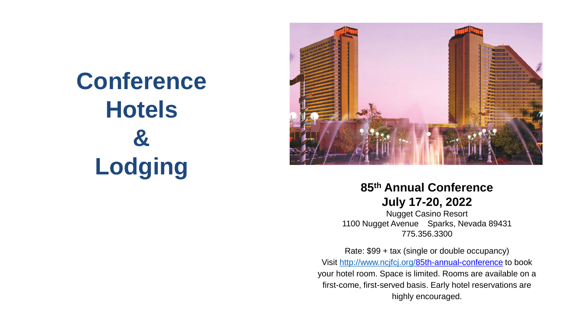**Conference Hotels & Lodging**



## **85th Annual Conference July 17-20, 2022**

Nugget Casino Resort 1100 Nugget Avenue Sparks, Nevada 89431 775.356.3300

Rate: \$99 + tax (single or double occupancy) Visit [http://www.ncjfcj.org/8](http://www.ncjfcj.org/)5th-annual-conference to book your hotel room. Space is limited. Rooms are available on a first-come, first-served basis. Early hotel reservations are highly encouraged.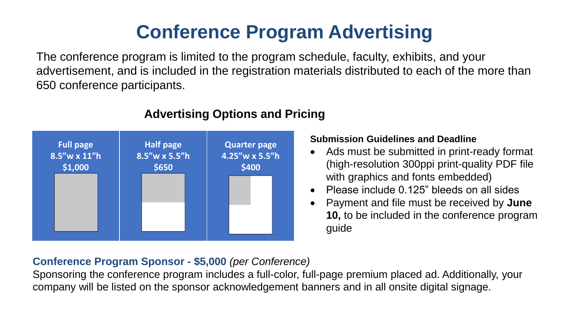# **Conference Program Advertising**

The conference program is limited to the program schedule, faculty, exhibits, and your advertisement, and is included in the registration materials distributed to each of the more than 650 conference participants.



## **Advertising Options and Pricing**

#### **Submission Guidelines and Deadline**

- Ads must be submitted in print-ready format (high-resolution 300ppi print-quality PDF file with graphics and fonts embedded)
- Please include 0.125" bleeds on all sides
- Payment and file must be received by **June 10,** to be included in the conference program guide

### **Conference Program Sponsor - \$5,000** *(per Conference)*

Sponsoring the conference program includes a full-color, full-page premium placed ad. Additionally, your company will be listed on the sponsor acknowledgement banners and in all onsite digital signage.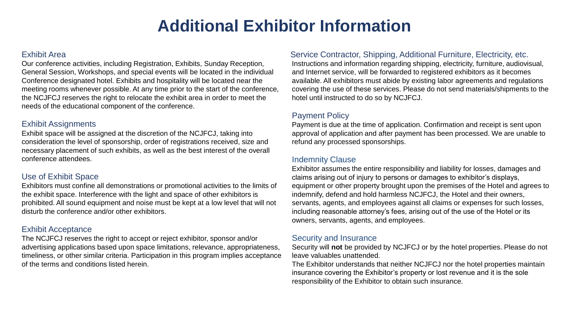# **Additional Exhibitor Information**

#### Exhibit Area

Our conference activities, including Registration, Exhibits, Sunday Reception, General Session, Workshops, and special events will be located in the individual Conference designated hotel. Exhibits and hospitality will be located near the meeting rooms whenever possible. At any time prior to the start of the conference, the NCJFCJ reserves the right to relocate the exhibit area in order to meet the needs of the educational component of the conference.

#### Exhibit Assignments

Exhibit space will be assigned at the discretion of the NCJFCJ, taking into consideration the level of sponsorship, order of registrations received, size and necessary placement of such exhibits, as well as the best interest of the overall conference attendees.

#### Use of Exhibit Space

Exhibitors must confine all demonstrations or promotional activities to the limits of the exhibit space. Interference with the light and space of other exhibitors is prohibited. All sound equipment and noise must be kept at a low level that will not disturb the conference and/or other exhibitors.

#### Exhibit Acceptance

The NCJFCJ reserves the right to accept or reject exhibitor, sponsor and/or advertising applications based upon space limitations, relevance, appropriateness, timeliness, or other similar criteria. Participation in this program implies acceptance of the terms and conditions listed herein.

#### Service Contractor, Shipping, Additional Furniture, Electricity, etc.

Instructions and information regarding shipping, electricity, furniture, audiovisual, and Internet service, will be forwarded to registered exhibitors as it becomes available. All exhibitors must abide by existing labor agreements and regulations covering the use of these services. Please do not send materials/shipments to the hotel until instructed to do so by NCJFCJ.

#### Payment Policy

Payment is due at the time of application. Confirmation and receipt is sent upon approval of application and after payment has been processed. We are unable to refund any processed sponsorships.

#### Indemnity Clause

Exhibitor assumes the entire responsibility and liability for losses, damages and claims arising out of injury to persons or damages to exhibitor's displays, equipment or other property brought upon the premises of the Hotel and agrees to indemnify, defend and hold harmless NCJFCJ, the Hotel and their owners, servants, agents, and employees against all claims or expenses for such losses, including reasonable attorney's fees, arising out of the use of the Hotel or its owners, servants, agents, and employees.

#### Security and Insurance

Security will **not** be provided by NCJFCJ or by the hotel properties. Please do not leave valuables unattended.

The Exhibitor understands that neither NCJFCJ nor the hotel properties maintain insurance covering the Exhibitor's property or lost revenue and it is the sole responsibility of the Exhibitor to obtain such insurance.